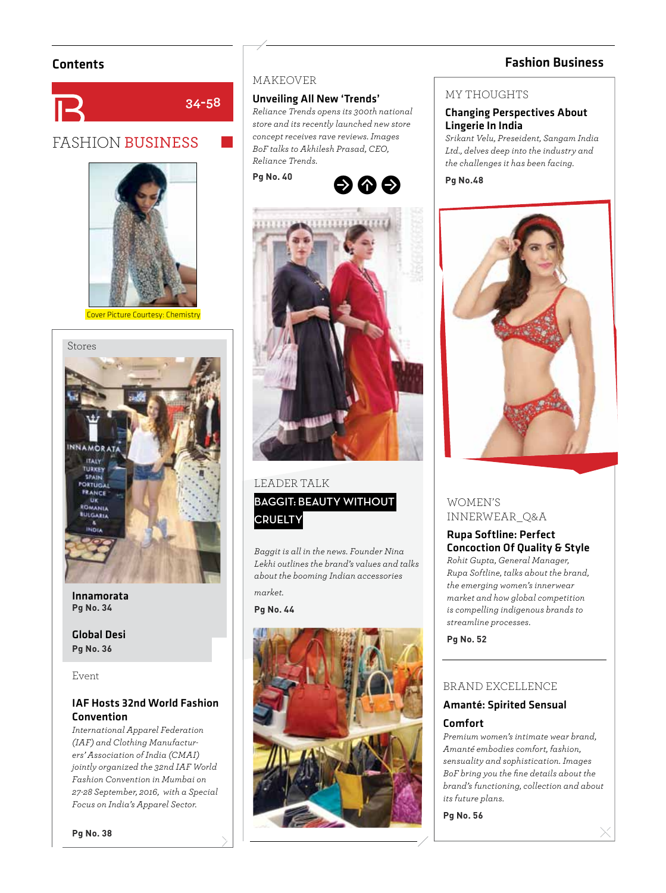# Contents Fashion Business



# FASHION BUSINESS



Cover Picture Courtesy: Chemistry



Innamorata **Pg No. 34**

Global Desi **Pg No. 36**

Event

# IAF Hosts 32nd World Fashion Convention

*International Apparel Federation (IAF) and Clothing Manufacturers' Association of India (CMAI) jointly organized the 32nd IAF World Fashion Convention in Mumbai on 27-28 September, 2016, with a Special Focus on India's Apparel Sector.*

## MAKEOVER

## Unveiling All New 'Trends'

*Reliance Trends opens its 300th national store and its recently launched new store concept receives rave reviews. Images BoF talks to Akhilesh Prasad, CEO, Reliance Trends.*







## LEADER TALK

**BAGGIT: BEAUTY WITHOUT CRUELTY**

*Baggit is all in the news. Founder Nina Lekhi outlines the brand's values and talks about the booming Indian accessories market.* 

**Pg No. 44**



### MY THOUGHTS

### Changing Perspectives About Lingerie In India

*Srikant Velu, Preseident, Sangam India Ltd., delves deep into the industry and the challenges it has been facing.*

**Pg No.48**



# WOMEN'S INNERWEAR\_Q&A

# Rupa Softline: Perfect Concoction Of Quality & Style

*Rohit Gupta, General Manager, Rupa Softline, talks about the brand, the emerging women's innerwear market and how global competition is compelling indigenous brands to streamline processes.*

**Pg No. 52**

## BRAND EXCELLENCE

## Amanté: Spirited Sensual Comfort

*Premium women's intimate wear brand, Amanté embodies comfort, fashion, sensuality and sophistication. Images BoF bring you the fi ne details about the brand's functioning, collection and about its future plans.*

**Pg No. 56**

**Pg No. 38**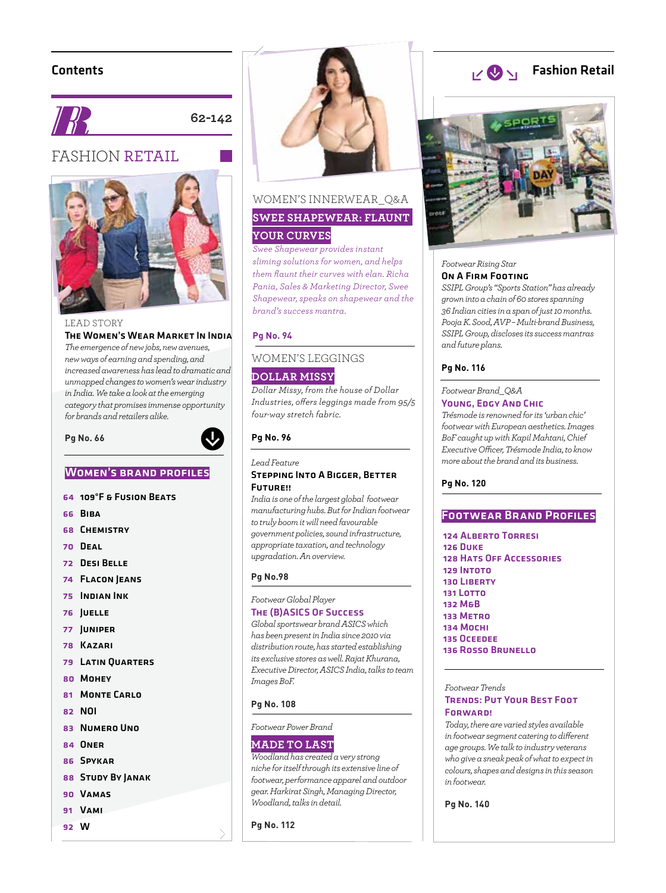# Contents



**62-142**

# FASHION RETAIL



#### LEAD STORY The Women's Wear Market In India

*The emergence of new jobs, new avenues, new ways of earning and spending, and increased awareness has lead to dramatic and unmapped changes to women's wear industry in India. We take a look at the emerging category that promises immense opportunity for brands and retailers alike.*

#### **Pg No. 66**



## WOMEN'S BRAND PROFILES

- 64 109°F & Fusion Beats
- 66 Biba
- 68 Chemistry
- 70 Deal
- 72 Desi Belle
- 74 Flacon Jeans
- 75 Indian Ink
- 76 Juelle
- 77 Juniper
- 78 Kazari
- 79 Latin Quarters
- 80 Mohey
- 81 MONTE CARLO
- 82 NOI
- 83 Numero Uno
- 84 Oner
- 86 Spykar
- 88 STUDY BY JANAK
- 90 Vamas
- 91 Vami
- 92 W



# WOMEN'S INNERWEAR\_Q&A **SWEE SHAPEWEAR: FLAUNT**

# **YOUR CURVES**

*Swee Shapewear provides instant sliming solutions for women, and helps them fl aunt their curves with elan. Richa Pania, Sales & Marketing Director, Swee Shapewear, speaks on shapewear and the brand's success mantra.*

#### **Pg No. 94**

# WOMEN'S LEGGINGS **DOLLAR MISSY**

*Dollar Missy, from the house of Dollar Industries, off ers leggings made from 95/5 four-way stretch fabric.* 

#### **Pg No. 96**

*Lead Feature* 

#### Stepping Into A Bigger, Better Future!!

*India is one of the largest global footwear manufacturing hubs. But for Indian footwear to truly boom it will need favourable government policies, sound infrastructure, appropriate taxation, and technology upgradation. An overview.*

#### **Pg No.98**

*Footwear Global Player* 

## The (B)ASICS Of Success

*Global sportswear brand ASICS which has been present in India since 2010 via distribution route, has started establishing its exclusive stores as well. Rajat Khurana, Executive Director, ASICS India, talks to team Images BoF.*

#### **Pg No. 108**

#### *Footwear Power Brand*

#### **MADE TO LAST**

*Woodland has created a very strong niche for itself through its extensive line of footwear, performance apparel and outdoor gear. Harkirat Singh, Managing Director, Woodland, talks in detail.*

**Pg No. 112**

#### Fashion Retail  $v \otimes v_1$



#### *Footwear Rising Star*  On A Firm Footing

*SSIPL Group's "Sports Station" has already grown into a chain of 60 stores spanning 36 Indian cities in a span of just 10 months. Pooja K. Sood, AVP – Multi-brand Business, SSIPL Group, discloses its success mantras and future plans.*

#### **Pg No. 116**

#### *Footwear Brand\_Q&A*  Young, Edgy And Chic

*Trésmode is renowned for its 'urban chic' footwear with European aesthetics. Images BoF caught up with Kapil Mahtani, Chief Executive Offi cer, Trésmode India, to know more about the brand and its business.*

#### **Pg No. 120**

#### **FOOTWEAR BRAND PROFILES**

124 Alberto Torresi 126 Duke 128 Hats Off Accessories 129 Intoto 130 Liberty 131 Lotto 132 M&B 133 Metro 134 Mochi 135 Oceedee 136 Rosso Brunello

#### *Footwear Trends*  Trends: Put Your Best Foot **FORWARD!**

*Today, there are varied styles available in footwear segment catering to diff erent age groups. We talk to industry veterans who give a sneak peak of what to expect in colours, shapes and designs in this season in footwear.*

**Pg No. 140**